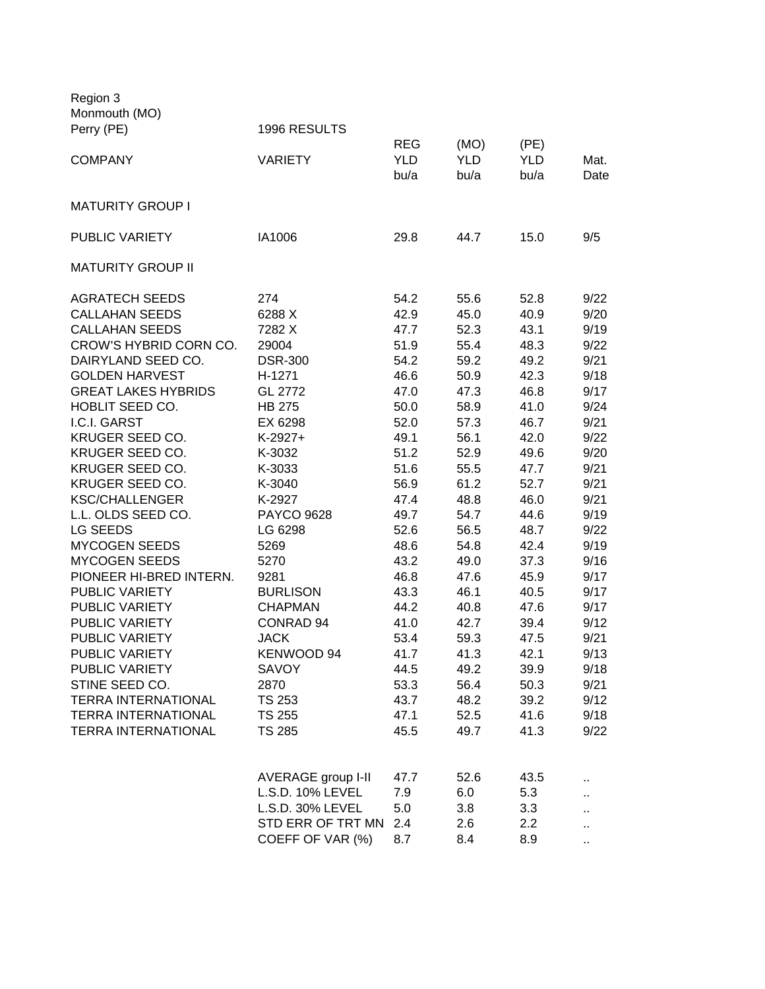| Region 3<br>Monmouth (MO)  |                      |                                  |                            |                            |              |
|----------------------------|----------------------|----------------------------------|----------------------------|----------------------------|--------------|
| Perry (PE)                 | 1996 RESULTS         |                                  |                            |                            |              |
| <b>COMPANY</b>             | <b>VARIETY</b>       | <b>REG</b><br><b>YLD</b><br>bu/a | (MO)<br><b>YLD</b><br>bu/a | (PE)<br><b>YLD</b><br>bu/a | Mat.<br>Date |
| <b>MATURITY GROUP I</b>    |                      |                                  |                            |                            |              |
| PUBLIC VARIETY             | IA1006               | 29.8                             | 44.7                       | 15.0                       | 9/5          |
| <b>MATURITY GROUP II</b>   |                      |                                  |                            |                            |              |
| <b>AGRATECH SEEDS</b>      | 274                  | 54.2                             | 55.6                       | 52.8                       | 9/22         |
| <b>CALLAHAN SEEDS</b>      | 6288 X               | 42.9                             | 45.0                       | 40.9                       | 9/20         |
| <b>CALLAHAN SEEDS</b>      | 7282 X               | 47.7                             | 52.3                       | 43.1                       | 9/19         |
| CROW'S HYBRID CORN CO.     | 29004                | 51.9                             | 55.4                       | 48.3                       | 9/22         |
| DAIRYLAND SEED CO.         | <b>DSR-300</b>       | 54.2                             | 59.2                       | 49.2                       | 9/21         |
| <b>GOLDEN HARVEST</b>      | H-1271               | 46.6                             | 50.9                       | 42.3                       | 9/18         |
| <b>GREAT LAKES HYBRIDS</b> | GL 2772              | 47.0                             | 47.3                       | 46.8                       | 9/17         |
| HOBLIT SEED CO.            | <b>HB 275</b>        | 50.0                             | 58.9                       | 41.0                       | 9/24         |
| I.C.I. GARST               | EX 6298              | 52.0                             | 57.3                       | 46.7                       | 9/21         |
| KRUGER SEED CO.            | $K-2927+$            | 49.1                             | 56.1                       | 42.0                       | 9/22         |
| KRUGER SEED CO.            | K-3032               | 51.2                             | 52.9                       | 49.6                       | 9/20         |
| KRUGER SEED CO.            | K-3033               | 51.6                             | 55.5                       | 47.7                       | 9/21         |
| KRUGER SEED CO.            | K-3040               | 56.9                             | 61.2                       | 52.7                       | 9/21         |
| <b>KSC/CHALLENGER</b>      | K-2927               | 47.4                             | 48.8                       | 46.0                       | 9/21         |
| L.L. OLDS SEED CO.         | <b>PAYCO 9628</b>    | 49.7                             | 54.7                       | 44.6                       | 9/19         |
| <b>LG SEEDS</b>            | LG 6298              | 52.6                             | 56.5                       | 48.7                       | 9/22         |
| <b>MYCOGEN SEEDS</b>       | 5269                 | 48.6                             | 54.8                       | 42.4                       | 9/19         |
| <b>MYCOGEN SEEDS</b>       | 5270                 | 43.2                             | 49.0                       | 37.3                       | 9/16         |
| PIONEER HI-BRED INTERN.    | 9281                 | 46.8                             | 47.6                       | 45.9                       | 9/17         |
| <b>PUBLIC VARIETY</b>      | <b>BURLISON</b>      | 43.3                             | 46.1                       | 40.5                       | 9/17         |
| PUBLIC VARIETY             | <b>CHAPMAN</b>       | 44.2                             | 40.8                       | 47.6                       | 9/17         |
| <b>PUBLIC VARIETY</b>      | CONRAD <sub>94</sub> | 41.0                             | 42.7                       | 39.4                       | 9/12         |
| PUBLIC VARIETY             | <b>JACK</b>          | 53.4                             | 59.3                       | 47.5                       | 9/21         |
| PUBLIC VARIETY             | KENWOOD 94           | 41.7                             | 41.3                       | 42.1                       | 9/13         |
| PUBLIC VARIETY             | <b>SAVOY</b>         | 44.5                             | 49.2                       | 39.9                       | 9/18         |
| STINE SEED CO.             | 2870                 | 53.3                             | 56.4                       | 50.3                       | 9/21         |
| <b>TERRA INTERNATIONAL</b> | <b>TS 253</b>        | 43.7                             | 48.2                       | 39.2                       | 9/12         |
| <b>TERRA INTERNATIONAL</b> | <b>TS 255</b>        | 47.1                             | 52.5                       | 41.6                       | 9/18         |
| <b>TERRA INTERNATIONAL</b> | <b>TS 285</b>        | 45.5                             | 49.7                       | 41.3                       | 9/22         |
|                            |                      |                                  |                            |                            |              |
|                            | AVERAGE group I-II   | 47.7                             | 52.6                       | 43.5                       |              |
|                            | L.S.D. 10% LEVEL     | 7.9                              | 6.0                        | 5.3                        |              |
|                            | L.S.D. 30% LEVEL     | 5.0                              | 3.8                        | 3.3                        |              |
|                            | STD ERR OF TRT MN    | 2.4                              | 2.6                        | 2.2                        | ٠.           |
|                            | COEFF OF VAR (%)     | 8.7                              | 8.4                        | 8.9                        | $\sim$       |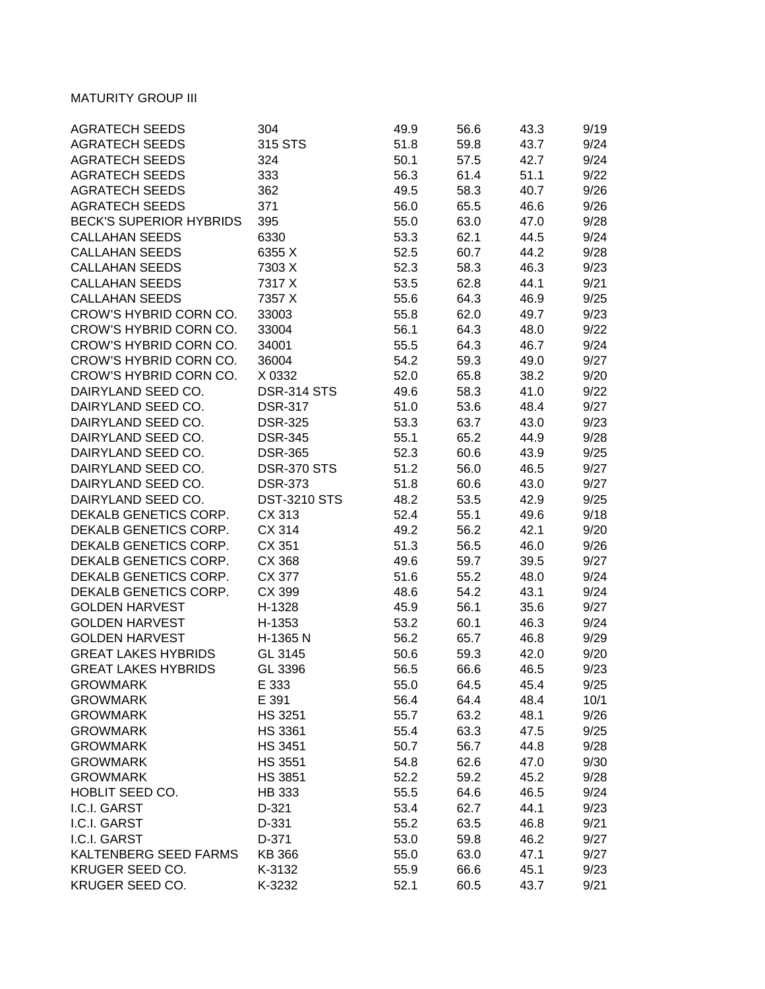## **MATURITY GROUP III**

| <b>AGRATECH SEEDS</b>          | 304                 | 49.9 | 56.6 | 43.3 | 9/19 |
|--------------------------------|---------------------|------|------|------|------|
| <b>AGRATECH SEEDS</b>          | 315 STS             | 51.8 | 59.8 | 43.7 | 9/24 |
| <b>AGRATECH SEEDS</b>          | 324                 | 50.1 | 57.5 | 42.7 | 9/24 |
| <b>AGRATECH SEEDS</b>          | 333                 | 56.3 | 61.4 | 51.1 | 9/22 |
| <b>AGRATECH SEEDS</b>          | 362                 | 49.5 | 58.3 | 40.7 | 9/26 |
| <b>AGRATECH SEEDS</b>          | 371                 | 56.0 | 65.5 | 46.6 | 9/26 |
| <b>BECK'S SUPERIOR HYBRIDS</b> | 395                 | 55.0 | 63.0 | 47.0 | 9/28 |
| <b>CALLAHAN SEEDS</b>          | 6330                | 53.3 | 62.1 | 44.5 | 9/24 |
| <b>CALLAHAN SEEDS</b>          | 6355 X              | 52.5 | 60.7 | 44.2 | 9/28 |
| <b>CALLAHAN SEEDS</b>          | 7303 X              | 52.3 | 58.3 | 46.3 | 9/23 |
| <b>CALLAHAN SEEDS</b>          | 7317 X              | 53.5 | 62.8 | 44.1 | 9/21 |
| <b>CALLAHAN SEEDS</b>          | 7357 X              | 55.6 | 64.3 | 46.9 | 9/25 |
| CROW'S HYBRID CORN CO.         | 33003               | 55.8 | 62.0 | 49.7 | 9/23 |
| CROW'S HYBRID CORN CO.         | 33004               | 56.1 | 64.3 | 48.0 | 9/22 |
| CROW'S HYBRID CORN CO.         | 34001               | 55.5 | 64.3 | 46.7 | 9/24 |
| CROW'S HYBRID CORN CO.         | 36004               | 54.2 | 59.3 | 49.0 | 9/27 |
| CROW'S HYBRID CORN CO.         | X 0332              | 52.0 | 65.8 | 38.2 | 9/20 |
| DAIRYLAND SEED CO.             | <b>DSR-314 STS</b>  | 49.6 | 58.3 | 41.0 | 9/22 |
| DAIRYLAND SEED CO.             | <b>DSR-317</b>      | 51.0 | 53.6 | 48.4 | 9/27 |
| DAIRYLAND SEED CO.             | <b>DSR-325</b>      | 53.3 | 63.7 | 43.0 | 9/23 |
| DAIRYLAND SEED CO.             | <b>DSR-345</b>      |      | 65.2 | 44.9 | 9/28 |
| DAIRYLAND SEED CO.             |                     | 55.1 |      | 43.9 |      |
|                                | <b>DSR-365</b>      | 52.3 | 60.6 |      | 9/25 |
| DAIRYLAND SEED CO.             | <b>DSR-370 STS</b>  | 51.2 | 56.0 | 46.5 | 9/27 |
| DAIRYLAND SEED CO.             | <b>DSR-373</b>      | 51.8 | 60.6 | 43.0 | 9/27 |
| DAIRYLAND SEED CO.             | <b>DST-3210 STS</b> | 48.2 | 53.5 | 42.9 | 9/25 |
| DEKALB GENETICS CORP.          | CX 313              | 52.4 | 55.1 | 49.6 | 9/18 |
| DEKALB GENETICS CORP.          | CX 314              | 49.2 | 56.2 | 42.1 | 9/20 |
| DEKALB GENETICS CORP.          | CX 351              | 51.3 | 56.5 | 46.0 | 9/26 |
| DEKALB GENETICS CORP.          | CX 368              | 49.6 | 59.7 | 39.5 | 9/27 |
| DEKALB GENETICS CORP.          | CX 377              | 51.6 | 55.2 | 48.0 | 9/24 |
| DEKALB GENETICS CORP.          | CX 399              | 48.6 | 54.2 | 43.1 | 9/24 |
| <b>GOLDEN HARVEST</b>          | H-1328              | 45.9 | 56.1 | 35.6 | 9/27 |
| <b>GOLDEN HARVEST</b>          | H-1353              | 53.2 | 60.1 | 46.3 | 9/24 |
| <b>GOLDEN HARVEST</b>          | H-1365 N            | 56.2 | 65.7 | 46.8 | 9/29 |
| <b>GREAT LAKES HYBRIDS</b>     | GL 3145             | 50.6 | 59.3 | 42.0 | 9/20 |
| <b>GREAT LAKES HYBRIDS</b>     | GL 3396             | 56.5 | 66.6 | 46.5 | 9/23 |
| <b>GROWMARK</b>                | E 333               | 55.0 | 64.5 | 45.4 | 9/25 |
| <b>GROWMARK</b>                | E 391               | 56.4 | 64.4 | 48.4 | 10/1 |
| <b>GROWMARK</b>                | <b>HS 3251</b>      | 55.7 | 63.2 | 48.1 | 9/26 |
| <b>GROWMARK</b>                | <b>HS 3361</b>      | 55.4 | 63.3 | 47.5 | 9/25 |
| <b>GROWMARK</b>                | <b>HS 3451</b>      | 50.7 | 56.7 | 44.8 | 9/28 |
| <b>GROWMARK</b>                | <b>HS 3551</b>      | 54.8 | 62.6 | 47.0 | 9/30 |
| <b>GROWMARK</b>                | <b>HS 3851</b>      | 52.2 | 59.2 | 45.2 | 9/28 |
| HOBLIT SEED CO.                | HB 333              | 55.5 | 64.6 | 46.5 | 9/24 |
| I.C.I. GARST                   | D-321               | 53.4 | 62.7 | 44.1 | 9/23 |
| I.C.I. GARST                   | D-331               | 55.2 | 63.5 | 46.8 | 9/21 |
| I.C.I. GARST                   | D-371               | 53.0 | 59.8 | 46.2 | 9/27 |
| KALTENBERG SEED FARMS          | <b>KB 366</b>       | 55.0 | 63.0 | 47.1 | 9/27 |
| KRUGER SEED CO.                | K-3132              | 55.9 | 66.6 | 45.1 | 9/23 |
| KRUGER SEED CO.                | K-3232              | 52.1 | 60.5 | 43.7 | 9/21 |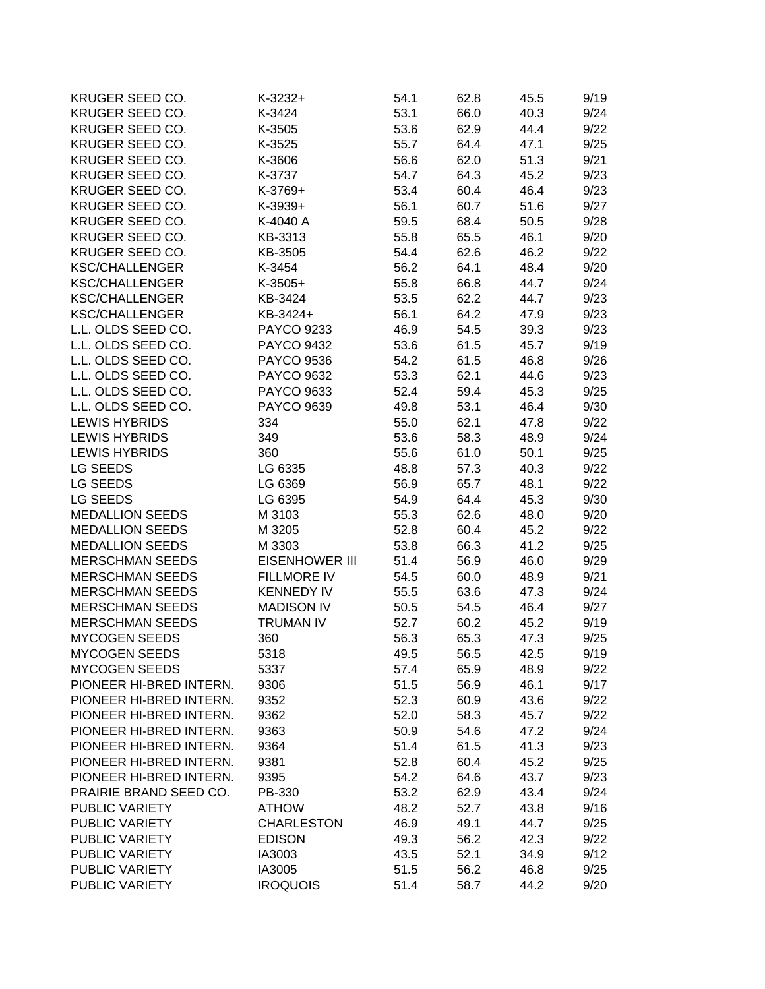| KRUGER SEED CO.         | $K-3232+$             | 54.1 | 62.8 | 45.5 | 9/19 |
|-------------------------|-----------------------|------|------|------|------|
| KRUGER SEED CO.         | K-3424                | 53.1 | 66.0 | 40.3 | 9/24 |
| KRUGER SEED CO.         | K-3505                | 53.6 | 62.9 | 44.4 | 9/22 |
| KRUGER SEED CO.         | K-3525                | 55.7 | 64.4 | 47.1 | 9/25 |
| KRUGER SEED CO.         | K-3606                | 56.6 | 62.0 | 51.3 | 9/21 |
| KRUGER SEED CO.         | K-3737                | 54.7 | 64.3 | 45.2 | 9/23 |
| KRUGER SEED CO.         | K-3769+               | 53.4 | 60.4 | 46.4 | 9/23 |
| KRUGER SEED CO.         | K-3939+               | 56.1 | 60.7 | 51.6 | 9/27 |
| KRUGER SEED CO.         | K-4040 A              | 59.5 | 68.4 | 50.5 | 9/28 |
| KRUGER SEED CO.         | KB-3313               | 55.8 | 65.5 | 46.1 | 9/20 |
| KRUGER SEED CO.         | KB-3505               | 54.4 | 62.6 | 46.2 | 9/22 |
| <b>KSC/CHALLENGER</b>   | K-3454                | 56.2 | 64.1 | 48.4 | 9/20 |
| <b>KSC/CHALLENGER</b>   | $K-3505+$             | 55.8 | 66.8 | 44.7 | 9/24 |
| <b>KSC/CHALLENGER</b>   | KB-3424               | 53.5 | 62.2 | 44.7 | 9/23 |
| <b>KSC/CHALLENGER</b>   | KB-3424+              | 56.1 | 64.2 | 47.9 | 9/23 |
| L.L. OLDS SEED CO.      | PAYCO 9233            | 46.9 | 54.5 | 39.3 | 9/23 |
| L.L. OLDS SEED CO.      | <b>PAYCO 9432</b>     | 53.6 | 61.5 | 45.7 | 9/19 |
| L.L. OLDS SEED CO.      | <b>PAYCO 9536</b>     | 54.2 | 61.5 | 46.8 | 9/26 |
| L.L. OLDS SEED CO.      | <b>PAYCO 9632</b>     | 53.3 | 62.1 | 44.6 | 9/23 |
| L.L. OLDS SEED CO.      | PAYCO 9633            | 52.4 | 59.4 | 45.3 | 9/25 |
| L.L. OLDS SEED CO.      | <b>PAYCO 9639</b>     | 49.8 | 53.1 | 46.4 | 9/30 |
| <b>LEWIS HYBRIDS</b>    |                       |      |      |      |      |
|                         | 334                   | 55.0 | 62.1 | 47.8 | 9/22 |
| <b>LEWIS HYBRIDS</b>    | 349                   | 53.6 | 58.3 | 48.9 | 9/24 |
| <b>LEWIS HYBRIDS</b>    | 360                   | 55.6 | 61.0 | 50.1 | 9/25 |
| LG SEEDS                | LG 6335               | 48.8 | 57.3 | 40.3 | 9/22 |
| LG SEEDS                | LG 6369               | 56.9 | 65.7 | 48.1 | 9/22 |
| LG SEEDS                | LG 6395               | 54.9 | 64.4 | 45.3 | 9/30 |
| <b>MEDALLION SEEDS</b>  | M 3103                | 55.3 | 62.6 | 48.0 | 9/20 |
| <b>MEDALLION SEEDS</b>  | M 3205                | 52.8 | 60.4 | 45.2 | 9/22 |
| <b>MEDALLION SEEDS</b>  | M 3303                | 53.8 | 66.3 | 41.2 | 9/25 |
| <b>MERSCHMAN SEEDS</b>  | <b>EISENHOWER III</b> | 51.4 | 56.9 | 46.0 | 9/29 |
| <b>MERSCHMAN SEEDS</b>  | <b>FILLMORE IV</b>    | 54.5 | 60.0 | 48.9 | 9/21 |
| <b>MERSCHMAN SEEDS</b>  | <b>KENNEDY IV</b>     | 55.5 | 63.6 | 47.3 | 9/24 |
| <b>MERSCHMAN SEEDS</b>  | <b>MADISON IV</b>     | 50.5 | 54.5 | 46.4 | 9/27 |
| <b>MERSCHMAN SEEDS</b>  | <b>TRUMAN IV</b>      | 52.7 | 60.2 | 45.2 | 9/19 |
| <b>MYCOGEN SEEDS</b>    | 360                   | 56.3 | 65.3 | 47.3 | 9/25 |
| <b>MYCOGEN SEEDS</b>    | 5318                  | 49.5 | 56.5 | 42.5 | 9/19 |
| <b>MYCOGEN SEEDS</b>    | 5337                  | 57.4 | 65.9 | 48.9 | 9/22 |
| PIONEER HI-BRED INTERN. | 9306                  | 51.5 | 56.9 | 46.1 | 9/17 |
| PIONEER HI-BRED INTERN. | 9352                  | 52.3 | 60.9 | 43.6 | 9/22 |
| PIONEER HI-BRED INTERN. | 9362                  | 52.0 | 58.3 | 45.7 | 9/22 |
| PIONEER HI-BRED INTERN. | 9363                  | 50.9 | 54.6 | 47.2 | 9/24 |
| PIONEER HI-BRED INTERN. | 9364                  | 51.4 | 61.5 | 41.3 | 9/23 |
| PIONEER HI-BRED INTERN. | 9381                  | 52.8 | 60.4 | 45.2 | 9/25 |
| PIONEER HI-BRED INTERN. | 9395                  | 54.2 | 64.6 | 43.7 | 9/23 |
| PRAIRIE BRAND SEED CO.  | PB-330                | 53.2 | 62.9 | 43.4 | 9/24 |
| PUBLIC VARIETY          | <b>ATHOW</b>          | 48.2 | 52.7 | 43.8 | 9/16 |
| PUBLIC VARIETY          | <b>CHARLESTON</b>     | 46.9 | 49.1 | 44.7 | 9/25 |
| PUBLIC VARIETY          | <b>EDISON</b>         | 49.3 | 56.2 | 42.3 | 9/22 |
| PUBLIC VARIETY          | IA3003                | 43.5 | 52.1 | 34.9 | 9/12 |
| PUBLIC VARIETY          | IA3005                | 51.5 | 56.2 | 46.8 | 9/25 |
| PUBLIC VARIETY          | <b>IROQUOIS</b>       | 51.4 | 58.7 | 44.2 | 9/20 |
|                         |                       |      |      |      |      |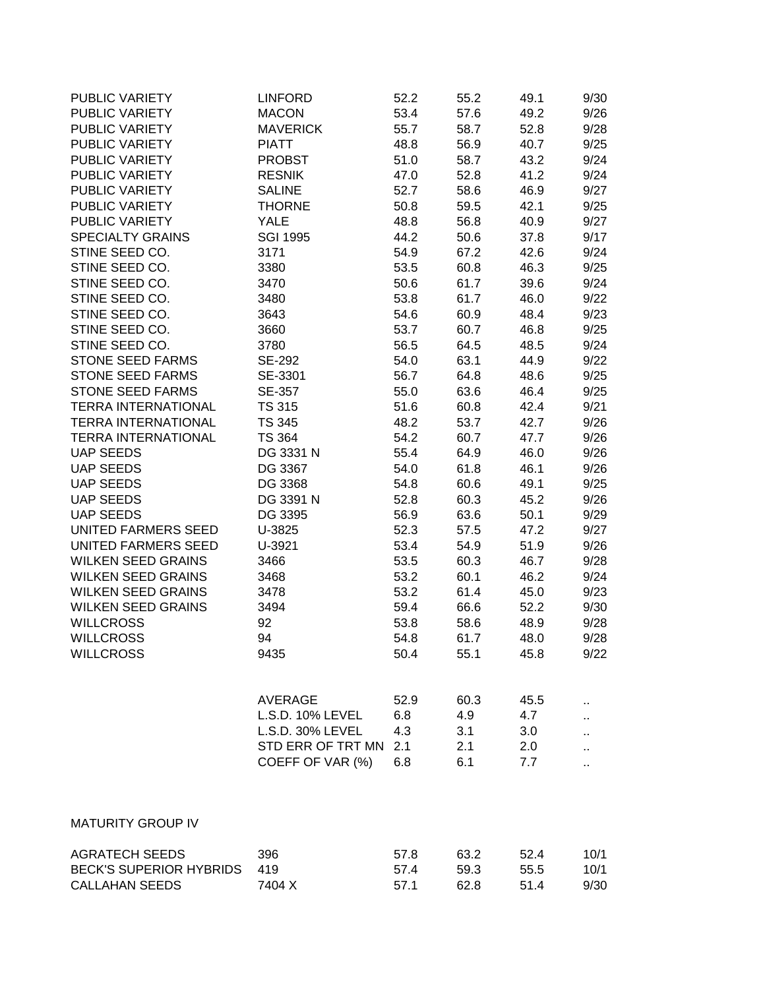| PUBLIC VARIETY<br><b>LINFORD</b><br>PUBLIC VARIETY<br><b>MACON</b> |                                 | 52.2<br>53.4 | 55.2<br>57.6 | 49.1<br>49.2 | 9/30<br>9/26 |
|--------------------------------------------------------------------|---------------------------------|--------------|--------------|--------------|--------------|
| PUBLIC VARIETY<br>PUBLIC VARIETY                                   | <b>MAVERICK</b><br><b>PIATT</b> | 55.7<br>48.8 | 58.7<br>56.9 | 52.8<br>40.7 | 9/28<br>9/25 |
| PUBLIC VARIETY                                                     | <b>PROBST</b>                   | 51.0         | 58.7         | 43.2         | 9/24         |
| PUBLIC VARIETY                                                     | <b>RESNIK</b>                   | 47.0         | 52.8         | 41.2         | 9/24         |
| PUBLIC VARIETY                                                     | <b>SALINE</b>                   | 52.7         | 58.6         | 46.9         | 9/27         |
| PUBLIC VARIETY                                                     | <b>THORNE</b>                   | 50.8         | 59.5         | 42.1         | 9/25         |
| PUBLIC VARIETY                                                     | <b>YALE</b>                     | 48.8         | 56.8         | 40.9         | 9/27         |
| <b>SPECIALTY GRAINS</b>                                            | <b>SGI 1995</b>                 | 44.2         | 50.6         | 37.8         | 9/17         |
| STINE SEED CO.                                                     | 3171                            | 54.9         | 67.2         | 42.6         | 9/24         |
| STINE SEED CO.                                                     | 3380                            | 53.5         | 60.8         | 46.3         | 9/25         |
| STINE SEED CO.                                                     | 3470                            | 50.6         | 61.7         | 39.6         | 9/24         |
| STINE SEED CO.                                                     | 3480                            | 53.8         | 61.7         | 46.0         | 9/22         |
| STINE SEED CO.                                                     | 3643                            | 54.6         | 60.9         | 48.4         | 9/23         |
| STINE SEED CO.                                                     | 3660                            | 53.7         | 60.7         | 46.8         | 9/25         |
| STINE SEED CO.                                                     | 3780                            | 56.5         | 64.5         | 48.5         | 9/24         |
| <b>STONE SEED FARMS</b>                                            | SE-292                          | 54.0         | 63.1         | 44.9         | 9/22         |
| <b>STONE SEED FARMS</b>                                            | SE-3301                         | 56.7         | 64.8         | 48.6         | 9/25         |
| <b>STONE SEED FARMS</b>                                            | SE-357                          | 55.0         | 63.6         | 46.4         | 9/25         |
| <b>TERRA INTERNATIONAL</b>                                         | <b>TS 315</b>                   | 51.6         | 60.8         | 42.4         | 9/21         |
| <b>TERRA INTERNATIONAL</b>                                         | <b>TS 345</b>                   | 48.2         | 53.7         | 42.7         | 9/26         |
| <b>TERRA INTERNATIONAL</b>                                         | <b>TS 364</b>                   | 54.2         | 60.7         | 47.7         | 9/26         |
| <b>UAP SEEDS</b>                                                   | DG 3331 N                       | 55.4         | 64.9         | 46.0         | 9/26         |
| <b>UAP SEEDS</b>                                                   | DG 3367                         | 54.0         | 61.8         | 46.1         | 9/26         |
| <b>UAP SEEDS</b>                                                   | DG 3368                         | 54.8         | 60.6         | 49.1         | 9/25         |
| <b>UAP SEEDS</b><br><b>UAP SEEDS</b>                               | DG 3391 N                       | 52.8         | 60.3         | 45.2         | 9/26         |
| UNITED FARMERS SEED                                                | DG 3395<br>U-3825               | 56.9         | 63.6         | 50.1         | 9/29<br>9/27 |
| UNITED FARMERS SEED                                                | U-3921                          | 52.3         | 57.5<br>54.9 | 47.2         | 9/26         |
| <b>WILKEN SEED GRAINS</b>                                          | 3466                            | 53.4<br>53.5 | 60.3         | 51.9<br>46.7 | 9/28         |
| <b>WILKEN SEED GRAINS</b>                                          | 3468                            | 53.2         | 60.1         | 46.2         | 9/24         |
| <b>WILKEN SEED GRAINS</b>                                          | 3478                            | 53.2         | 61.4         | 45.0         | 9/23         |
| <b>WILKEN SEED GRAINS</b>                                          | 3494                            | 59.4         | 66.6         | 52.2         | 9/30         |
| <b>WILLCROSS</b>                                                   | 92                              | 53.8         | 58.6         | 48.9         | 9/28         |
| <b>WILLCROSS</b>                                                   | 94                              | 54.8         | 61.7         | 48.0         | 9/28         |
| <b>WILLCROSS</b>                                                   | 9435                            | 50.4         | 55.1         | 45.8         | 9/22         |
|                                                                    |                                 |              |              |              |              |
|                                                                    | <b>AVERAGE</b>                  | 52.9         | 60.3         | 45.5         | н.           |
|                                                                    | L.S.D. 10% LEVEL                | 6.8          | 4.9          | 4.7          |              |
|                                                                    | L.S.D. 30% LEVEL                | 4.3          | 3.1          | 3.0          |              |
|                                                                    | STD ERR OF TRT MN               | 2.1          | 2.1          | 2.0          |              |
|                                                                    | COEFF OF VAR (%)                | 6.8          | 6.1          | 7.7          |              |
|                                                                    |                                 |              |              |              |              |
| <b>MATURITY GROUP IV</b>                                           |                                 |              |              |              |              |
| <b>AGRATECH SEEDS</b><br><b>BECK'S SUPERIOR HYBRIDS</b>            | 396<br>419                      | 57.8<br>57.4 | 63.2<br>59.3 | 52.4<br>55.5 | 10/1<br>10/1 |

CALLAHAN SEEDS 7404 X 57.1 62.8 51.4 9/30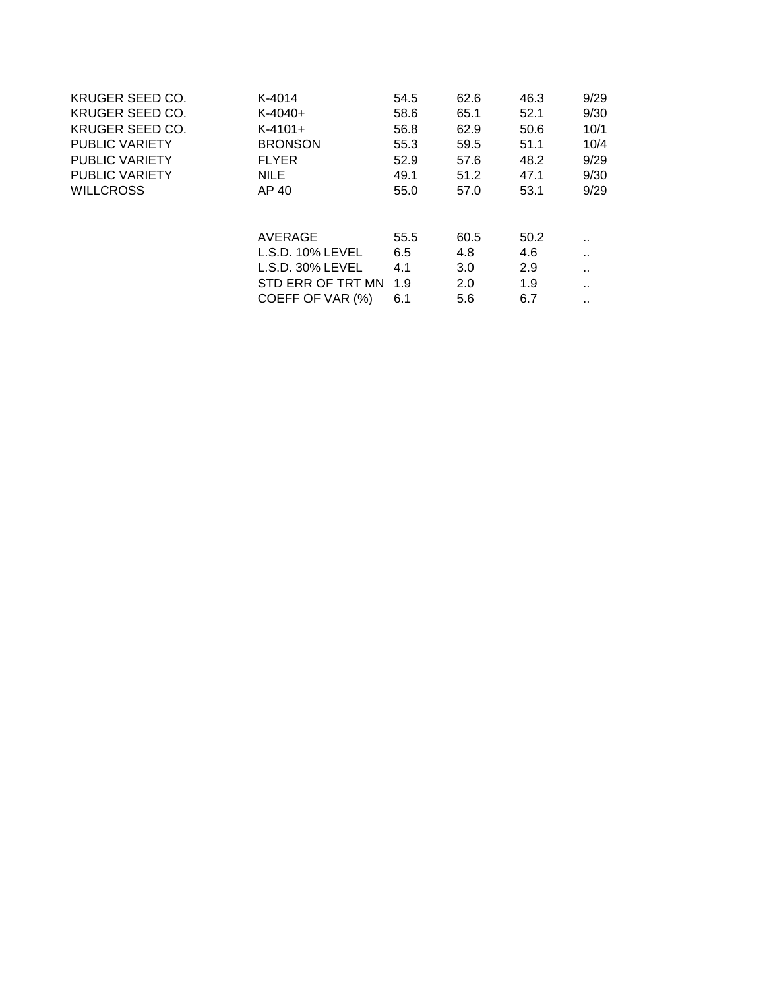| <b>KRUGER SEED CO.</b> | K-4014              | 54.5 | 62.6 | 46.3 | 9/29   |
|------------------------|---------------------|------|------|------|--------|
| KRUGER SEED CO.        | $K-4040+$           | 58.6 | 65.1 | 52.1 | 9/30   |
| KRUGER SEED CO.        | $K-4101+$           | 56.8 | 62.9 | 50.6 | 10/1   |
| <b>PUBLIC VARIETY</b>  | <b>BRONSON</b>      | 55.3 | 59.5 | 51.1 | 10/4   |
| <b>PUBLIC VARIETY</b>  | <b>FLYER</b>        | 52.9 | 57.6 | 48.2 | 9/29   |
| <b>PUBLIC VARIETY</b>  | <b>NILE</b>         | 49.1 | 51.2 | 47.1 | 9/30   |
| <b>WILLCROSS</b>       | AP 40               | 55.0 | 57.0 | 53.1 | 9/29   |
|                        |                     |      |      |      |        |
|                        | AVERAGE             | 55.5 | 60.5 | 50.2 | . .    |
|                        | L.S.D. 10% LEVEL    | 6.5  | 4.8  | 4.6  | $\sim$ |
|                        | $L.S.D. 30\% LEVEL$ | 4.1  | 3.0  | 2.9  |        |
|                        | STD ERR OF TRT MN   | 1.9  | 2.0  | 1.9  | Ω.     |
|                        | COEFF OF VAR (%)    | 6.1  | 5.6  | 6.7  |        |
|                        |                     |      |      |      |        |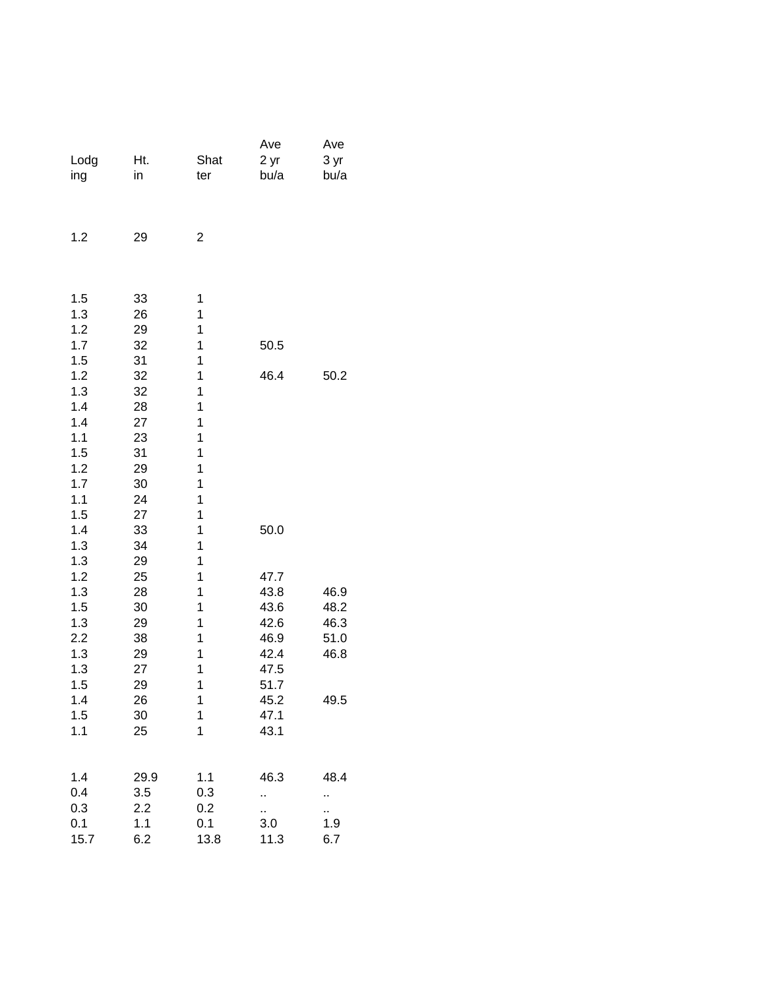| Lodg<br>ing              | Ht.<br>in            | Shat<br>ter         | Ave<br>2 yr<br>bu/a  | Ave<br>3 yr<br>bu/a |
|--------------------------|----------------------|---------------------|----------------------|---------------------|
| 1.2                      | 29                   | $\overline{2}$      |                      |                     |
| 1.5<br>1.3<br>1.2        | 33<br>26<br>29       | 1<br>1<br>1         |                      |                     |
| 1.7<br>1.5               | 32<br>31             | 1<br>1              | 50.5                 |                     |
| 1.2<br>1.3<br>1.4        | 32<br>32<br>28       | 1<br>1<br>1         | 46.4                 | 50.2                |
| 1.4<br>1.1<br>1.5        | 27<br>23<br>31       | 1<br>1<br>1         |                      |                     |
| 1.2<br>1.7<br>1.1        | 29<br>30<br>24       | 1<br>1<br>1         |                      |                     |
| 1.5<br>1.4<br>1.3<br>1.3 | 27<br>33<br>34<br>29 | 1<br>1<br>1<br>1    | 50.0                 |                     |
| 1.2                      | 25                   | 1                   | 47.7                 |                     |
| 1.3                      | 28                   | 1                   | 43.8                 | 46.9                |
| 1.5                      | 30                   | 1                   | 43.6                 | 48.2                |
| 1.3<br>2.2               | 29<br>38             | 1<br>1              | 42.6<br>46.9         | 46.3<br>51.0        |
| 1.3<br>1.3<br>1.5        | 29<br>27<br>29       | 1<br>1<br>1         | 42.4<br>47.5<br>51.7 | 46.8                |
| 1.4                      | 26                   | 1                   | 45.2                 | 49.5                |
| 1.5<br>1.1               | 30<br>25             | 1<br>$\overline{1}$ | 47.1<br>43.1         |                     |
| 1.4                      | 29.9                 | 1.1                 | 46.3                 | 48.4                |
| 0.4                      | 3.5                  | 0.3                 | .,                   | Ω.                  |
| 0.3                      | 2.2                  | 0.2                 | .,                   | .,                  |
| 0.1<br>15.7              | 1.1<br>6.2           | 0.1<br>13.8         | 3.0<br>11.3          | 1.9<br>6.7          |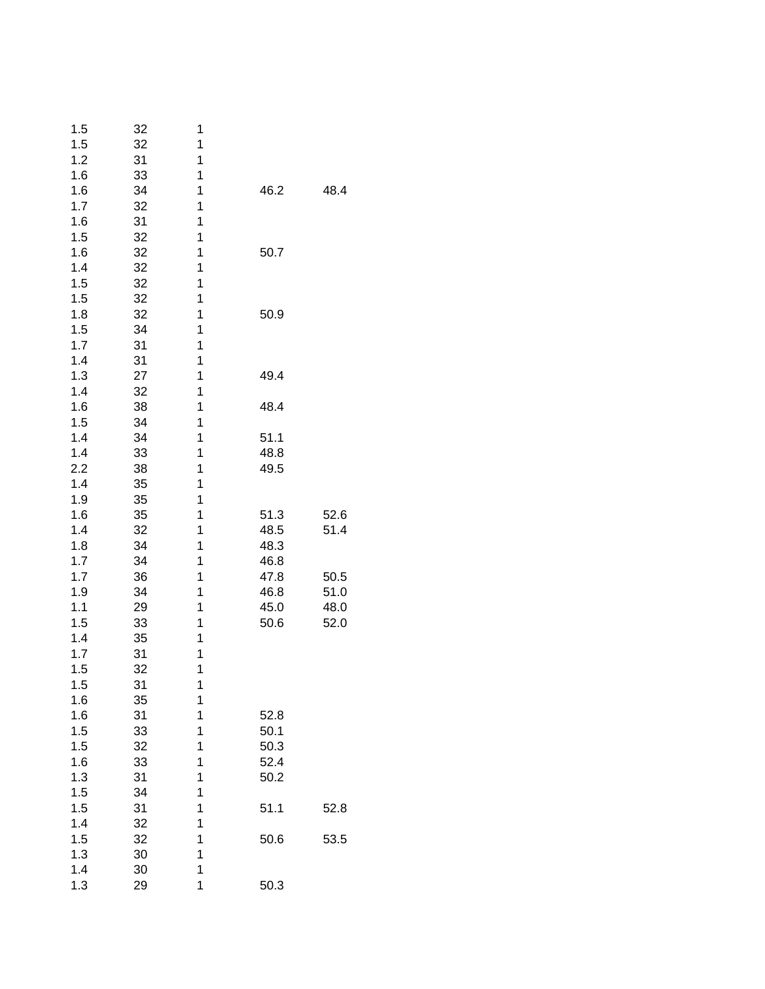| 1.5 | 32 | 1 |      |      |
|-----|----|---|------|------|
| 1.5 | 32 | 1 |      |      |
| 1.2 | 31 | 1 |      |      |
| 1.6 | 33 | 1 |      |      |
| 1.6 | 34 | 1 | 46.2 | 48.4 |
| 1.7 | 32 | 1 |      |      |
| 1.6 | 31 | 1 |      |      |
| 1.5 | 32 | 1 |      |      |
| 1.6 | 32 | 1 | 50.7 |      |
| 1.4 | 32 | 1 |      |      |
| 1.5 | 32 | 1 |      |      |
| 1.5 | 32 | 1 |      |      |
| 1.8 |    | 1 |      |      |
|     | 32 |   | 50.9 |      |
| 1.5 | 34 | 1 |      |      |
| 1.7 | 31 | 1 |      |      |
| 1.4 | 31 | 1 |      |      |
| 1.3 | 27 | 1 | 49.4 |      |
| 1.4 | 32 | 1 |      |      |
| 1.6 | 38 | 1 | 48.4 |      |
| 1.5 | 34 | 1 |      |      |
| 1.4 | 34 | 1 | 51.1 |      |
| 1.4 | 33 | 1 | 48.8 |      |
| 2.2 | 38 | 1 | 49.5 |      |
| 1.4 | 35 | 1 |      |      |
| 1.9 | 35 | 1 |      |      |
| 1.6 | 35 | 1 | 51.3 | 52.6 |
| 1.4 | 32 | 1 | 48.5 | 51.4 |
| 1.8 | 34 | 1 | 48.3 |      |
| 1.7 | 34 | 1 | 46.8 |      |
| 1.7 | 36 | 1 | 47.8 | 50.5 |
| 1.9 | 34 | 1 | 46.8 | 51.0 |
| 1.1 | 29 | 1 | 45.0 | 48.0 |
| 1.5 | 33 | 1 | 50.6 | 52.0 |
| 1.4 | 35 | 1 |      |      |
| 1.7 | 31 | 1 |      |      |
| 1.5 | 32 | 1 |      |      |
| 1.5 | 31 | 1 |      |      |
| 1.6 | 35 | 1 |      |      |
| 1.6 | 31 | 1 | 52.8 |      |
|     |    | 1 | 50.1 |      |
| 1.5 | 33 | 1 |      |      |
| 1.5 | 32 |   | 50.3 |      |
| 1.6 | 33 | 1 | 52.4 |      |
| 1.3 | 31 | 1 | 50.2 |      |
| 1.5 | 34 | 1 |      |      |
| 1.5 | 31 | 1 | 51.1 | 52.8 |
| 1.4 | 32 | 1 |      |      |
| 1.5 | 32 | 1 | 50.6 | 53.5 |
| 1.3 | 30 | 1 |      |      |
| 1.4 | 30 | 1 |      |      |
| 1.3 | 29 | 1 | 50.3 |      |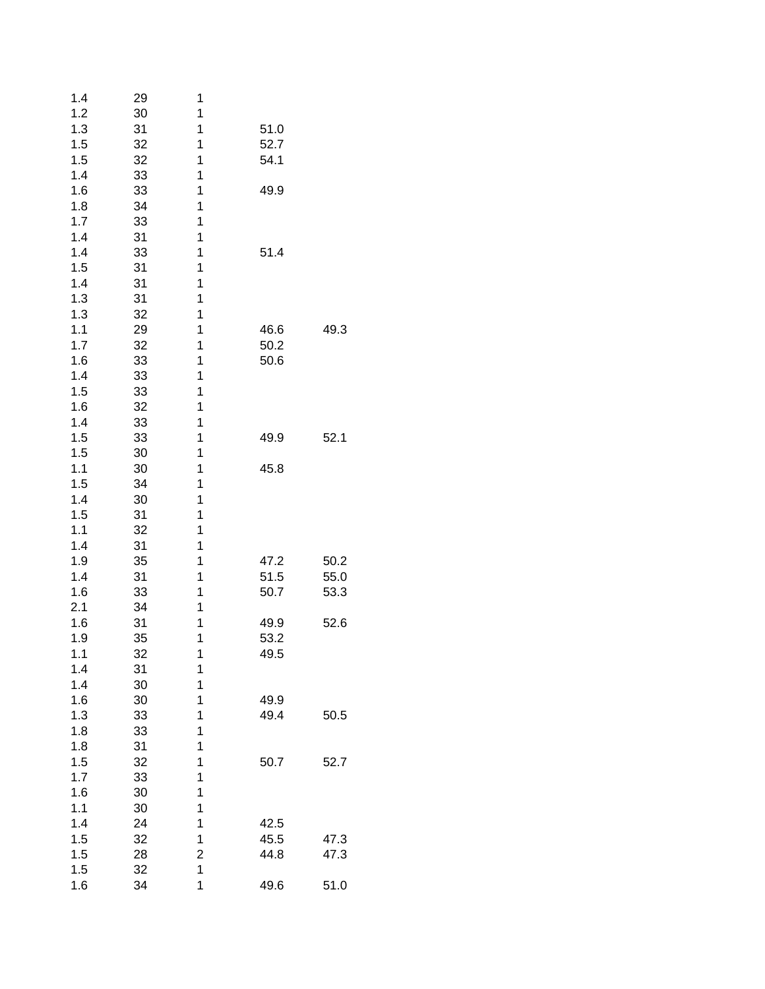| 1.4 | 29 | 1 |      |      |
|-----|----|---|------|------|
| 1.2 | 30 | 1 |      |      |
| 1.3 | 31 | 1 | 51.0 |      |
| 1.5 | 32 | 1 | 52.7 |      |
| 1.5 | 32 | 1 | 54.1 |      |
| 1.4 | 33 | 1 |      |      |
| 1.6 | 33 | 1 | 49.9 |      |
|     |    |   |      |      |
| 1.8 | 34 | 1 |      |      |
| 1.7 | 33 | 1 |      |      |
| 1.4 | 31 | 1 |      |      |
| 1.4 | 33 | 1 | 51.4 |      |
| 1.5 | 31 | 1 |      |      |
| 1.4 | 31 | 1 |      |      |
| 1.3 | 31 | 1 |      |      |
| 1.3 | 32 | 1 |      |      |
| 1.1 | 29 | 1 | 46.6 | 49.3 |
| 1.7 | 32 | 1 | 50.2 |      |
| 1.6 | 33 | 1 | 50.6 |      |
| 1.4 | 33 | 1 |      |      |
| 1.5 | 33 | 1 |      |      |
| 1.6 |    | 1 |      |      |
|     | 32 |   |      |      |
| 1.4 | 33 | 1 |      |      |
| 1.5 | 33 | 1 | 49.9 | 52.1 |
| 1.5 | 30 | 1 |      |      |
| 1.1 | 30 | 1 | 45.8 |      |
| 1.5 | 34 | 1 |      |      |
| 1.4 | 30 | 1 |      |      |
| 1.5 | 31 | 1 |      |      |
| 1.1 | 32 | 1 |      |      |
| 1.4 | 31 | 1 |      |      |
| 1.9 | 35 | 1 | 47.2 | 50.2 |
| 1.4 | 31 | 1 | 51.5 | 55.0 |
| 1.6 | 33 | 1 | 50.7 | 53.3 |
| 2.1 | 34 | 1 |      |      |
| 1.6 | 31 | 1 | 49.9 | 52.6 |
| 1.9 | 35 | 1 | 53.2 |      |
| 1.1 |    | 1 |      |      |
|     | 32 |   | 49.5 |      |
| 1.4 | 31 | 1 |      |      |
| 1.4 | 30 | 1 |      |      |
| 1.6 | 30 | 1 | 49.9 |      |
| 1.3 | 33 | 1 | 49.4 | 50.5 |
| 1.8 | 33 | 1 |      |      |
| 1.8 | 31 | 1 |      |      |
| 1.5 | 32 | 1 | 50.7 | 52.7 |
| 1.7 | 33 | 1 |      |      |
| 1.6 | 30 | 1 |      |      |
| 1.1 | 30 | 1 |      |      |
| 1.4 | 24 | 1 | 42.5 |      |
|     |    | 1 |      |      |
| 1.5 | 32 |   | 45.5 | 47.3 |
| 1.5 | 28 | 2 | 44.8 | 47.3 |
| 1.5 | 32 | 1 |      |      |
| 1.6 | 34 | 1 | 49.6 | 51.0 |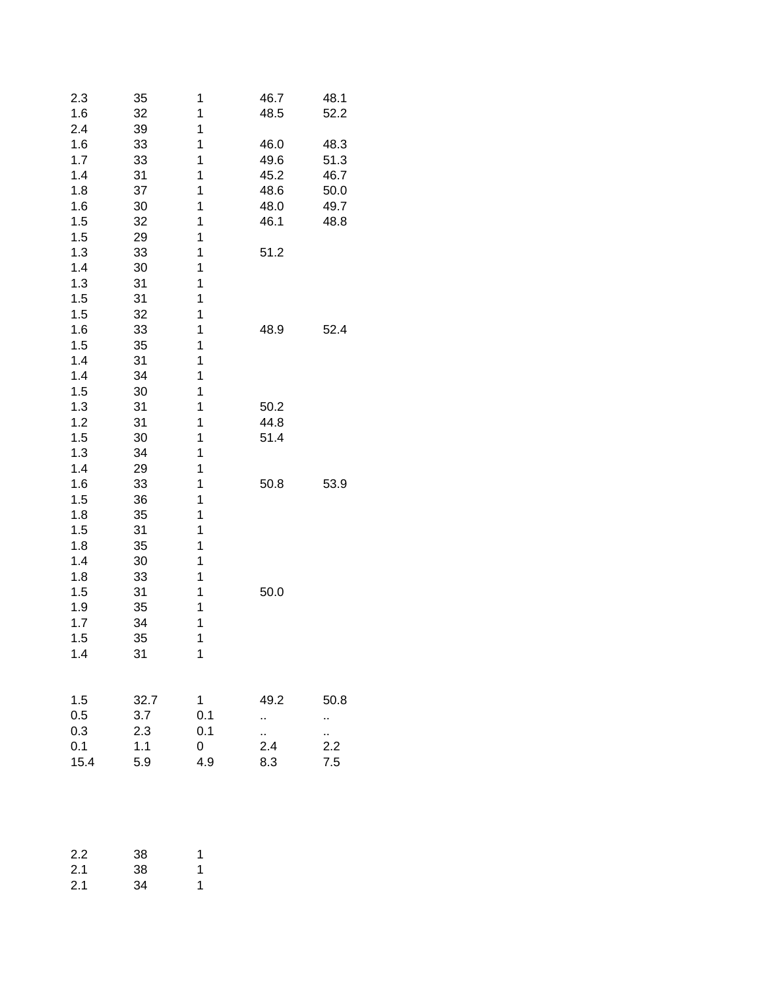| 2.3<br>1.6 | 35<br>32 | 1<br>1 | 46.7<br>48.5 | 48.1<br>52.2 |
|------------|----------|--------|--------------|--------------|
| 2.4        | 39       | 1      |              |              |
| 1.6        | 33       | 1      | 46.0         | 48.3         |
| 1.7        | 33       | 1      | 49.6         | 51.3         |
| 1.4        | 31       | 1      | 45.2         | 46.7         |
| 1.8        | 37       | 1      | 48.6         | 50.0         |
| 1.6        | 30       | 1      | 48.0         | 49.7         |
| 1.5        | 32       | 1      | 46.1         | 48.8         |
| 1.5        | 29       | 1      |              |              |
| 1.3        | 33       | 1      | 51.2         |              |
| 1.4        | 30       | 1      |              |              |
| 1.3        | 31       | 1      |              |              |
| 1.5        | 31       | 1      |              |              |
| 1.5        | 32       | 1      |              |              |
| 1.6        | 33       | 1      | 48.9         | 52.4         |
| 1.5        | 35       | 1      |              |              |
| 1.4        | 31       | 1      |              |              |
| 1.4        | 34       | 1      |              |              |
| 1.5        | 30       | 1      |              |              |
| 1.3        | 31       | 1      | 50.2         |              |
| 1.2        | 31       | 1      | 44.8         |              |
| 1.5        | 30       | 1      | 51.4         |              |
| 1.3        | 34       | 1      |              |              |
| 1.4        | 29       | 1      |              |              |
| 1.6        | 33       | 1      | 50.8         | 53.9         |
| 1.5        | 36       | 1      |              |              |
| 1.8        | 35       | 1      |              |              |
| 1.5        | 31       | 1      |              |              |
| 1.8        | 35       | 1      |              |              |
| 1.4        | 30       | 1      |              |              |
| 1.8        | 33       | 1      |              |              |
| 1.5        | 31       | 1      | 50.0         |              |
| 1.9        | 35       | 1      |              |              |
| 1.7        | 34       | 1      |              |              |
| 1.5        | 35       | 1      |              |              |
| 1.4        | 31       | 1      |              |              |
|            |          |        |              |              |
|            |          |        |              |              |
| 1.5        | 32.7     | 1      | 49.2         | 50.8         |
| 0.5        | 3.7      | 0.1    | .,           | .,           |
| 0.3        | 2.3      | 0.1    | й,<br>2.4    | П,           |
| 0.1        | 1.1      | 0      |              | 2.2          |
| 15.4       | 5.9      | 4.9    | 8.3          | 7.5          |
|            |          |        |              |              |
| 2.2        | 38       | 1      |              |              |
| 2.1        | 38       | 1      |              |              |
| 2.1        | 34       | 1      |              |              |
|            |          |        |              |              |